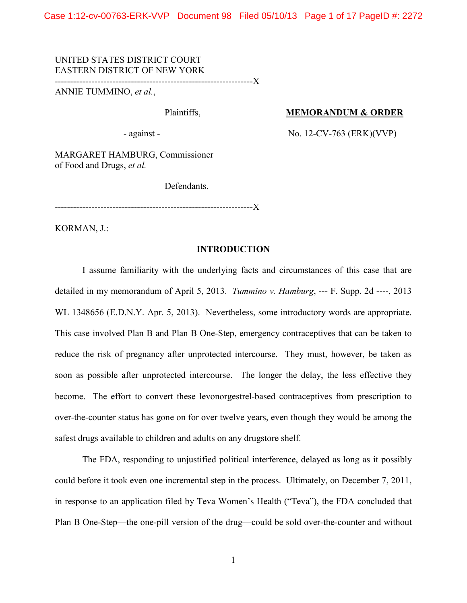UNITED STATES DISTRICT COURT EASTERN DISTRICT OF NEW YORK

-----------------------------------------------------------------X

ANNIE TUMMINO, *et al.*,

# Plaintiffs, **MEMORANDUM & ORDER**

- against - No. 12-CV-763 (ERK)(VVP)

MARGARET HAMBURG, Commissioner of Food and Drugs, *et al.*

Defendants.

-----------------------------------------------------------------X

KORMAN, J.:

### **INTRODUCTION**

I assume familiarity with the underlying facts and circumstances of this case that are detailed in my memorandum of April 5, 2013. *Tummino v. Hamburg*, --- F. Supp. 2d ----, 2013 WL 1348656 (E.D.N.Y. Apr. 5, 2013). Nevertheless, some introductory words are appropriate. This case involved Plan B and Plan B One-Step, emergency contraceptives that can be taken to reduce the risk of pregnancy after unprotected intercourse. They must, however, be taken as soon as possible after unprotected intercourse. The longer the delay, the less effective they become. The effort to convert these levonorgestrel-based contraceptives from prescription to over-the-counter status has gone on for over twelve years, even though they would be among the safest drugs available to children and adults on any drugstore shelf.

The FDA, responding to unjustified political interference, delayed as long as it possibly could before it took even one incremental step in the process. Ultimately, on December 7, 2011, in response to an application filed by Teva Women's Health ("Teva"), the FDA concluded that Plan B One-Step—the one-pill version of the drug—could be sold over-the-counter and without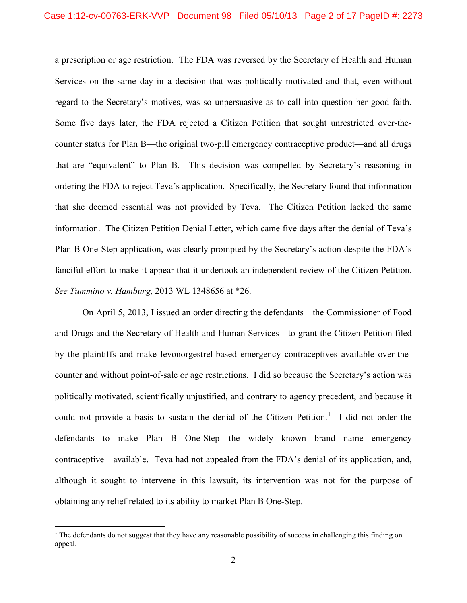a prescription or age restriction. The FDA was reversed by the Secretary of Health and Human Services on the same day in a decision that was politically motivated and that, even without regard to the Secretary's motives, was so unpersuasive as to call into question her good faith. Some five days later, the FDA rejected a Citizen Petition that sought unrestricted over-thecounter status for Plan B—the original two-pill emergency contraceptive product—and all drugs that are "equivalent" to Plan B. This decision was compelled by Secretary's reasoning in ordering the FDA to reject Teva's application. Specifically, the Secretary found that information that she deemed essential was not provided by Teva. The Citizen Petition lacked the same information. The Citizen Petition Denial Letter, which came five days after the denial of Teva's Plan B One-Step application, was clearly prompted by the Secretary's action despite the FDA's fanciful effort to make it appear that it undertook an independent review of the Citizen Petition. *See Tummino v. Hamburg*, 2013 WL 1348656 at \*26.

On April 5, 2013, I issued an order directing the defendants—the Commissioner of Food and Drugs and the Secretary of Health and Human Services—to grant the Citizen Petition filed by the plaintiffs and make levonorgestrel-based emergency contraceptives available over-thecounter and without point-of-sale or age restrictions. I did so because the Secretary's action was politically motivated, scientifically unjustified, and contrary to agency precedent, and because it could not provide a basis to sustain the denial of the Citizen Petition.<sup>[1](#page-1-0)</sup> I did not order the defendants to make Plan B One-Step—the widely known brand name emergency contraceptive—available. Teva had not appealed from the FDA's denial of its application, and, although it sought to intervene in this lawsuit, its intervention was not for the purpose of obtaining any relief related to its ability to market Plan B One-Step.

<span id="page-1-0"></span> $1$  The defendants do not suggest that they have any reasonable possibility of success in challenging this finding on appeal.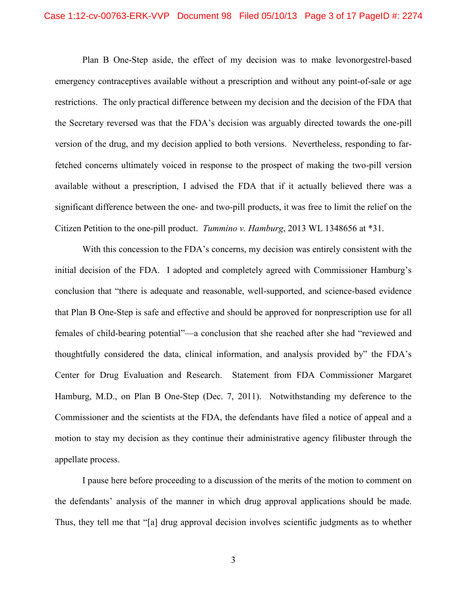Plan B One-Step aside, the effect of my decision was to make levonorgestrel-based emergency contraceptives available without a prescription and without any point-of-sale or age restrictions. The only practical difference between my decision and the decision of the FDA that the Secretary reversed was that the FDA's decision was arguably directed towards the one-pill version of the drug, and my decision applied to both versions. Nevertheless, responding to farfetched concerns ultimately voiced in response to the prospect of making the two-pill version available without a prescription, I advised the FDA that if it actually believed there was a significant difference between the one- and two-pill products, it was free to limit the relief on the Citizen Petition to the one-pill product. *Tummino v. Hamburg*, 2013 WL 1348656 at \*31.

With this concession to the FDA's concerns, my decision was entirely consistent with the initial decision of the FDA. I adopted and completely agreed with Commissioner Hamburg's conclusion that "there is adequate and reasonable, well-supported, and science-based evidence that Plan B One-Step is safe and effective and should be approved for nonprescription use for all females of child-bearing potential"—a conclusion that she reached after she had "reviewed and thoughtfully considered the data, clinical information, and analysis provided by" the FDA's Center for Drug Evaluation and Research. Statement from FDA Commissioner Margaret Hamburg, M.D., on Plan B One-Step (Dec. 7, 2011). Notwithstanding my deference to the Commissioner and the scientists at the FDA, the defendants have filed a notice of appeal and a motion to stay my decision as they continue their administrative agency filibuster through the appellate process.

I pause here before proceeding to a discussion of the merits of the motion to comment on the defendants' analysis of the manner in which drug approval applications should be made. Thus, they tell me that "[a] drug approval decision involves scientific judgments as to whether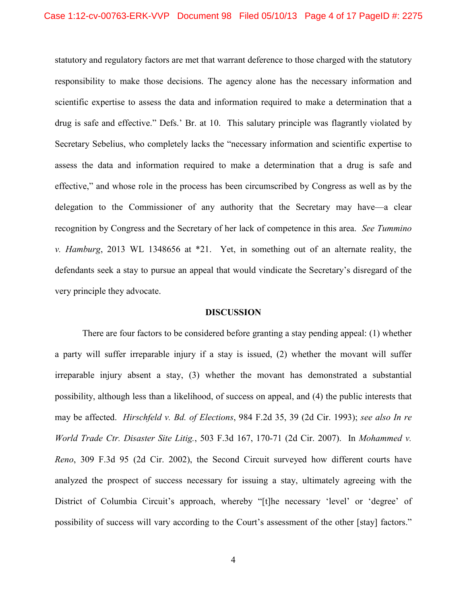statutory and regulatory factors are met that warrant deference to those charged with the statutory responsibility to make those decisions. The agency alone has the necessary information and scientific expertise to assess the data and information required to make a determination that a drug is safe and effective." Defs.' Br. at 10. This salutary principle was flagrantly violated by Secretary Sebelius, who completely lacks the "necessary information and scientific expertise to assess the data and information required to make a determination that a drug is safe and effective," and whose role in the process has been circumscribed by Congress as well as by the delegation to the Commissioner of any authority that the Secretary may have—a clear recognition by Congress and the Secretary of her lack of competence in this area. *See Tummino v. Hamburg*, 2013 WL 1348656 at \*21. Yet, in something out of an alternate reality, the defendants seek a stay to pursue an appeal that would vindicate the Secretary's disregard of the very principle they advocate.

#### **DISCUSSION**

There are four factors to be considered before granting a stay pending appeal: (1) whether a party will suffer irreparable injury if a stay is issued, (2) whether the movant will suffer irreparable injury absent a stay, (3) whether the movant has demonstrated a substantial possibility, although less than a likelihood, of success on appeal, and (4) the public interests that may be affected. *Hirschfeld v. Bd. of Elections*, 984 F.2d 35, 39 (2d Cir. 1993); *see also In re World Trade Ctr. Disaster Site Litig.*, 503 F.3d 167, 170-71 (2d Cir. 2007). In *Mohammed v. Reno*, 309 F.3d 95 (2d Cir. 2002), the Second Circuit surveyed how different courts have analyzed the prospect of success necessary for issuing a stay, ultimately agreeing with the District of Columbia Circuit's approach, whereby "[t]he necessary 'level' or 'degree' of possibility of success will vary according to the Court's assessment of the other [stay] factors."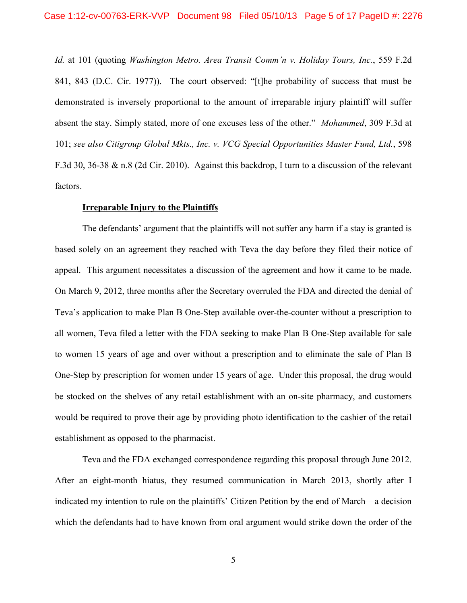*Id.* at 101 (quoting *Washington Metro. Area Transit Comm'n v. Holiday Tours, Inc.*, 559 F.2d 841, 843 (D.C. Cir. 1977)). The court observed: "[t]he probability of success that must be demonstrated is inversely proportional to the amount of irreparable injury plaintiff will suffer absent the stay. Simply stated, more of one excuses less of the other." *Mohammed*, 309 F.3d at 101; *see also Citigroup Global Mkts., Inc. v. VCG Special Opportunities Master Fund, Ltd.*, 598 F.3d 30, 36-38 & n.8 (2d Cir. 2010). Against this backdrop, I turn to a discussion of the relevant factors.

### **Irreparable Injury to the Plaintiffs**

The defendants' argument that the plaintiffs will not suffer any harm if a stay is granted is based solely on an agreement they reached with Teva the day before they filed their notice of appeal. This argument necessitates a discussion of the agreement and how it came to be made. On March 9, 2012, three months after the Secretary overruled the FDA and directed the denial of Teva's application to make Plan B One-Step available over-the-counter without a prescription to all women, Teva filed a letter with the FDA seeking to make Plan B One-Step available for sale to women 15 years of age and over without a prescription and to eliminate the sale of Plan B One-Step by prescription for women under 15 years of age. Under this proposal, the drug would be stocked on the shelves of any retail establishment with an on-site pharmacy, and customers would be required to prove their age by providing photo identification to the cashier of the retail establishment as opposed to the pharmacist.

Teva and the FDA exchanged correspondence regarding this proposal through June 2012. After an eight-month hiatus, they resumed communication in March 2013, shortly after I indicated my intention to rule on the plaintiffs' Citizen Petition by the end of March—a decision which the defendants had to have known from oral argument would strike down the order of the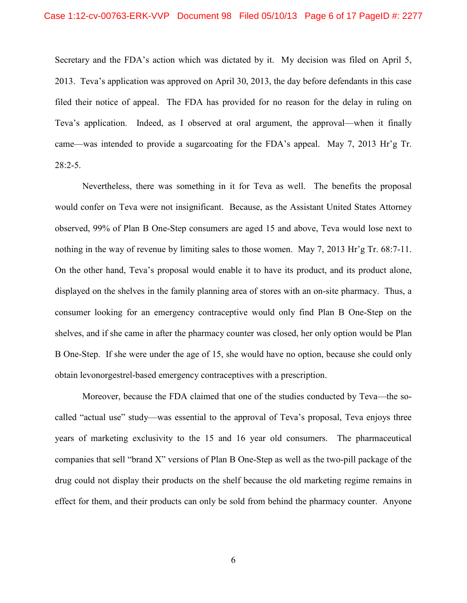Secretary and the FDA's action which was dictated by it. My decision was filed on April 5, 2013. Teva's application was approved on April 30, 2013, the day before defendants in this case filed their notice of appeal. The FDA has provided for no reason for the delay in ruling on Teva's application. Indeed, as I observed at oral argument, the approval—when it finally came—was intended to provide a sugarcoating for the FDA's appeal. May 7, 2013 Hr'g Tr.  $28:2-5.$ 

Nevertheless, there was something in it for Teva as well. The benefits the proposal would confer on Teva were not insignificant. Because, as the Assistant United States Attorney observed, 99% of Plan B One-Step consumers are aged 15 and above, Teva would lose next to nothing in the way of revenue by limiting sales to those women. May 7, 2013 Hr'g Tr. 68:7-11. On the other hand, Teva's proposal would enable it to have its product, and its product alone, displayed on the shelves in the family planning area of stores with an on-site pharmacy. Thus, a consumer looking for an emergency contraceptive would only find Plan B One-Step on the shelves, and if she came in after the pharmacy counter was closed, her only option would be Plan B One-Step. If she were under the age of 15, she would have no option, because she could only obtain levonorgestrel-based emergency contraceptives with a prescription.

Moreover, because the FDA claimed that one of the studies conducted by Teva—the socalled "actual use" study—was essential to the approval of Teva's proposal, Teva enjoys three years of marketing exclusivity to the 15 and 16 year old consumers. The pharmaceutical companies that sell "brand X" versions of Plan B One-Step as well as the two-pill package of the drug could not display their products on the shelf because the old marketing regime remains in effect for them, and their products can only be sold from behind the pharmacy counter. Anyone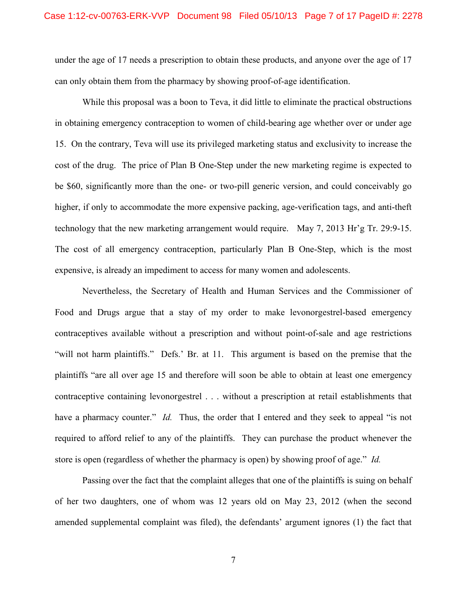under the age of 17 needs a prescription to obtain these products, and anyone over the age of 17 can only obtain them from the pharmacy by showing proof-of-age identification.

While this proposal was a boon to Teva, it did little to eliminate the practical obstructions in obtaining emergency contraception to women of child-bearing age whether over or under age 15. On the contrary, Teva will use its privileged marketing status and exclusivity to increase the cost of the drug. The price of Plan B One-Step under the new marketing regime is expected to be \$60, significantly more than the one- or two-pill generic version, and could conceivably go higher, if only to accommodate the more expensive packing, age-verification tags, and anti-theft technology that the new marketing arrangement would require. May 7, 2013 Hr'g Tr. 29:9-15. The cost of all emergency contraception, particularly Plan B One-Step, which is the most expensive, is already an impediment to access for many women and adolescents.

Nevertheless, the Secretary of Health and Human Services and the Commissioner of Food and Drugs argue that a stay of my order to make levonorgestrel-based emergency contraceptives available without a prescription and without point-of-sale and age restrictions "will not harm plaintiffs." Defs.' Br. at 11. This argument is based on the premise that the plaintiffs "are all over age 15 and therefore will soon be able to obtain at least one emergency contraceptive containing levonorgestrel . . . without a prescription at retail establishments that have a pharmacy counter." *Id.* Thus, the order that I entered and they seek to appeal "is not required to afford relief to any of the plaintiffs. They can purchase the product whenever the store is open (regardless of whether the pharmacy is open) by showing proof of age." *Id.*

Passing over the fact that the complaint alleges that one of the plaintiffs is suing on behalf of her two daughters, one of whom was 12 years old on May 23, 2012 (when the second amended supplemental complaint was filed), the defendants' argument ignores (1) the fact that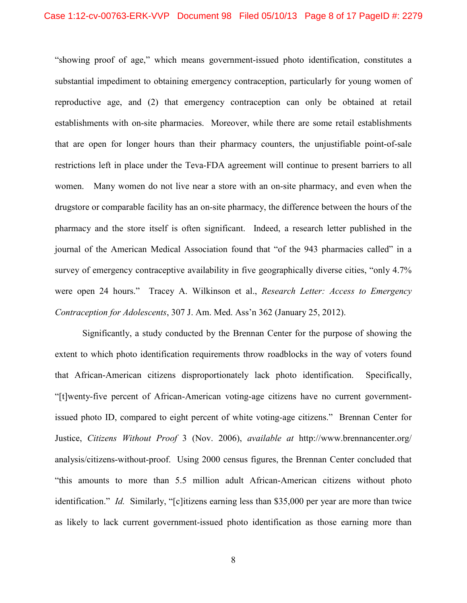"showing proof of age," which means government-issued photo identification, constitutes a substantial impediment to obtaining emergency contraception, particularly for young women of reproductive age, and (2) that emergency contraception can only be obtained at retail establishments with on-site pharmacies. Moreover, while there are some retail establishments that are open for longer hours than their pharmacy counters, the unjustifiable point-of-sale restrictions left in place under the Teva-FDA agreement will continue to present barriers to all women. Many women do not live near a store with an on-site pharmacy, and even when the drugstore or comparable facility has an on-site pharmacy, the difference between the hours of the pharmacy and the store itself is often significant. Indeed, a research letter published in the journal of the American Medical Association found that "of the 943 pharmacies called" in a survey of emergency contraceptive availability in five geographically diverse cities, "only 4.7%" were open 24 hours." Tracey A. Wilkinson et al., *Research Letter: Access to Emergency Contraception for Adolescents*, 307 J. Am. Med. Ass'n 362 (January 25, 2012).

Significantly, a study conducted by the Brennan Center for the purpose of showing the extent to which photo identification requirements throw roadblocks in the way of voters found that African-American citizens disproportionately lack photo identification. Specifically, "[t]wenty-five percent of African-American voting-age citizens have no current governmentissued photo ID, compared to eight percent of white voting-age citizens." Brennan Center for Justice, *Citizens Without Proof* 3 (Nov. 2006), *available at* http://www.brennancenter.org/ analysis/citizens-without-proof. Using 2000 census figures, the Brennan Center concluded that "this amounts to more than 5.5 million adult African-American citizens without photo identification." *Id.* Similarly, "[c]itizens earning less than \$35,000 per year are more than twice as likely to lack current government-issued photo identification as those earning more than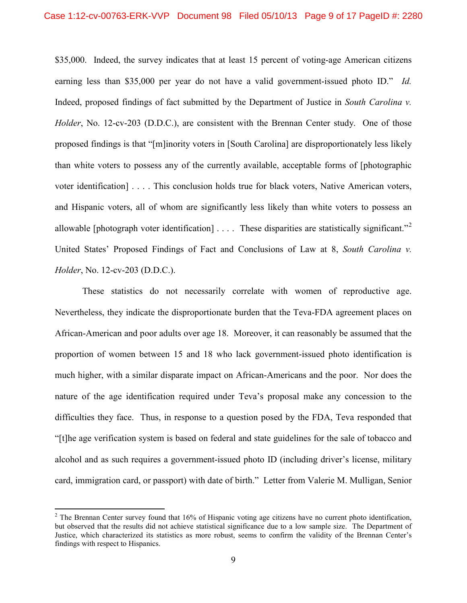\$35,000. Indeed, the survey indicates that at least 15 percent of voting-age American citizens earning less than \$35,000 per year do not have a valid government-issued photo ID." *Id.* Indeed, proposed findings of fact submitted by the Department of Justice in *South Carolina v. Holder*, No. 12-cv-203 (D.D.C.), are consistent with the Brennan Center study. One of those proposed findings is that "[m]inority voters in [South Carolina] are disproportionately less likely than white voters to possess any of the currently available, acceptable forms of [photographic voter identification] . . . . This conclusion holds true for black voters, Native American voters, and Hispanic voters, all of whom are significantly less likely than white voters to possess an allowable [photograph voter identification]  $\dots$ . These disparities are statistically significant.<sup>[2](#page-8-0)2</sup> United States' Proposed Findings of Fact and Conclusions of Law at 8, *South Carolina v. Holder*, No. 12-cv-203 (D.D.C.).

These statistics do not necessarily correlate with women of reproductive age. Nevertheless, they indicate the disproportionate burden that the Teva-FDA agreement places on African-American and poor adults over age 18. Moreover, it can reasonably be assumed that the proportion of women between 15 and 18 who lack government-issued photo identification is much higher, with a similar disparate impact on African-Americans and the poor. Nor does the nature of the age identification required under Teva's proposal make any concession to the difficulties they face. Thus, in response to a question posed by the FDA, Teva responded that "[t]he age verification system is based on federal and state guidelines for the sale of tobacco and alcohol and as such requires a government-issued photo ID (including driver's license, military card, immigration card, or passport) with date of birth." Letter from Valerie M. Mulligan, Senior

<span id="page-8-0"></span> $2$  The Brennan Center survey found that 16% of Hispanic voting age citizens have no current photo identification, but observed that the results did not achieve statistical significance due to a low sample size. The Department of Justice, which characterized its statistics as more robust, seems to confirm the validity of the Brennan Center's findings with respect to Hispanics.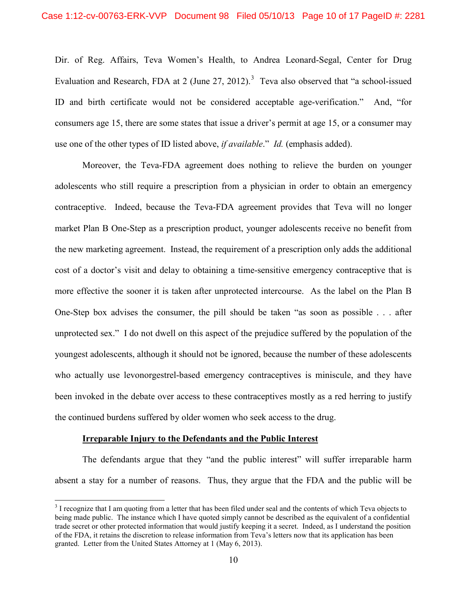Dir. of Reg. Affairs, Teva Women's Health, to Andrea Leonard-Segal, Center for Drug Evaluation and Research, FDA at 2 (June 27, 2012).<sup>[3](#page-9-0)</sup> Teva also observed that "a school-issued ID and birth certificate would not be considered acceptable age-verification." And, "for consumers age 15, there are some states that issue a driver's permit at age 15, or a consumer may use one of the other types of ID listed above, *if available*." *Id.* (emphasis added).

Moreover, the Teva-FDA agreement does nothing to relieve the burden on younger adolescents who still require a prescription from a physician in order to obtain an emergency contraceptive. Indeed, because the Teva-FDA agreement provides that Teva will no longer market Plan B One-Step as a prescription product, younger adolescents receive no benefit from the new marketing agreement. Instead, the requirement of a prescription only adds the additional cost of a doctor's visit and delay to obtaining a time-sensitive emergency contraceptive that is more effective the sooner it is taken after unprotected intercourse. As the label on the Plan B One-Step box advises the consumer, the pill should be taken "as soon as possible . . . after unprotected sex." I do not dwell on this aspect of the prejudice suffered by the population of the youngest adolescents, although it should not be ignored, because the number of these adolescents who actually use levonorgestrel-based emergency contraceptives is miniscule, and they have been invoked in the debate over access to these contraceptives mostly as a red herring to justify the continued burdens suffered by older women who seek access to the drug.

### **Irreparable Injury to the Defendants and the Public Interest**

The defendants argue that they "and the public interest" will suffer irreparable harm absent a stay for a number of reasons. Thus, they argue that the FDA and the public will be

<span id="page-9-0"></span><sup>&</sup>lt;sup>3</sup> I recognize that I am quoting from a letter that has been filed under seal and the contents of which Teva objects to being made public. The instance which I have quoted simply cannot be described as the equivalent of a confidential trade secret or other protected information that would justify keeping it a secret. Indeed, as I understand the position of the FDA, it retains the discretion to release information from Teva's letters now that its application has been granted. Letter from the United States Attorney at 1 (May 6, 2013).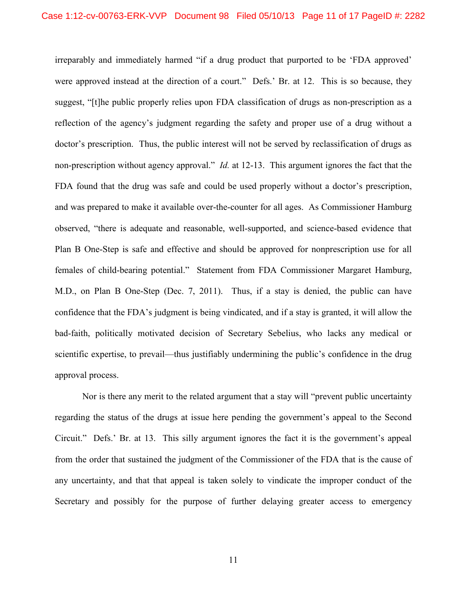irreparably and immediately harmed "if a drug product that purported to be 'FDA approved' were approved instead at the direction of a court." Defs.' Br. at 12. This is so because, they suggest, "[t]he public properly relies upon FDA classification of drugs as non-prescription as a reflection of the agency's judgment regarding the safety and proper use of a drug without a doctor's prescription. Thus, the public interest will not be served by reclassification of drugs as non-prescription without agency approval." *Id.* at 12-13. This argument ignores the fact that the FDA found that the drug was safe and could be used properly without a doctor's prescription, and was prepared to make it available over-the-counter for all ages. As Commissioner Hamburg observed, "there is adequate and reasonable, well-supported, and science-based evidence that Plan B One-Step is safe and effective and should be approved for nonprescription use for all females of child-bearing potential." Statement from FDA Commissioner Margaret Hamburg, M.D., on Plan B One-Step (Dec. 7, 2011). Thus, if a stay is denied, the public can have confidence that the FDA's judgment is being vindicated, and if a stay is granted, it will allow the bad-faith, politically motivated decision of Secretary Sebelius, who lacks any medical or scientific expertise, to prevail—thus justifiably undermining the public's confidence in the drug approval process.

Nor is there any merit to the related argument that a stay will "prevent public uncertainty regarding the status of the drugs at issue here pending the government's appeal to the Second Circuit." Defs.' Br. at 13. This silly argument ignores the fact it is the government's appeal from the order that sustained the judgment of the Commissioner of the FDA that is the cause of any uncertainty, and that that appeal is taken solely to vindicate the improper conduct of the Secretary and possibly for the purpose of further delaying greater access to emergency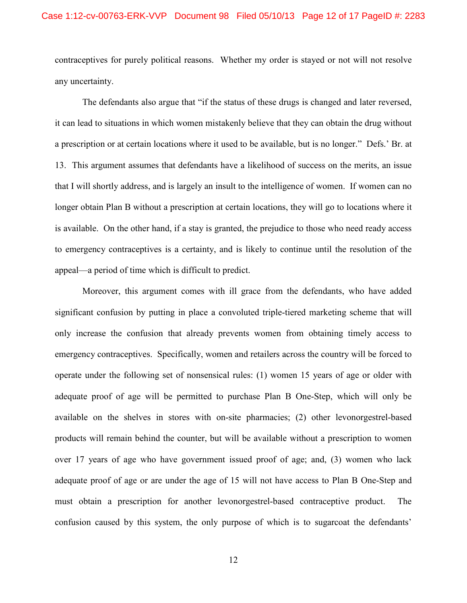contraceptives for purely political reasons. Whether my order is stayed or not will not resolve any uncertainty.

The defendants also argue that "if the status of these drugs is changed and later reversed, it can lead to situations in which women mistakenly believe that they can obtain the drug without a prescription or at certain locations where it used to be available, but is no longer." Defs.' Br. at 13. This argument assumes that defendants have a likelihood of success on the merits, an issue that I will shortly address, and is largely an insult to the intelligence of women. If women can no longer obtain Plan B without a prescription at certain locations, they will go to locations where it is available. On the other hand, if a stay is granted, the prejudice to those who need ready access to emergency contraceptives is a certainty, and is likely to continue until the resolution of the appeal—a period of time which is difficult to predict.

Moreover, this argument comes with ill grace from the defendants, who have added significant confusion by putting in place a convoluted triple-tiered marketing scheme that will only increase the confusion that already prevents women from obtaining timely access to emergency contraceptives. Specifically, women and retailers across the country will be forced to operate under the following set of nonsensical rules: (1) women 15 years of age or older with adequate proof of age will be permitted to purchase Plan B One-Step, which will only be available on the shelves in stores with on-site pharmacies; (2) other levonorgestrel-based products will remain behind the counter, but will be available without a prescription to women over 17 years of age who have government issued proof of age; and, (3) women who lack adequate proof of age or are under the age of 15 will not have access to Plan B One-Step and must obtain a prescription for another levonorgestrel-based contraceptive product. The confusion caused by this system, the only purpose of which is to sugarcoat the defendants'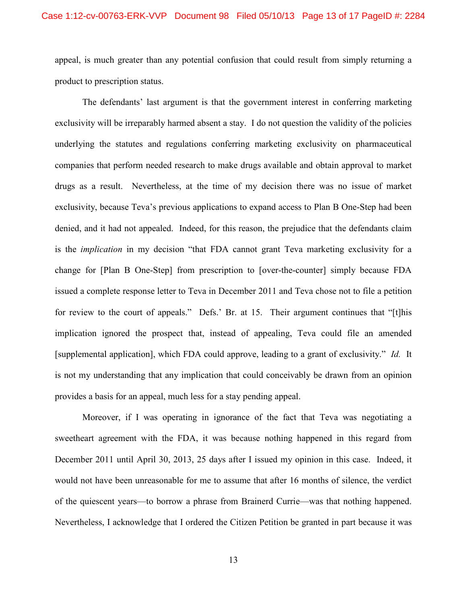appeal, is much greater than any potential confusion that could result from simply returning a product to prescription status.

The defendants' last argument is that the government interest in conferring marketing exclusivity will be irreparably harmed absent a stay. I do not question the validity of the policies underlying the statutes and regulations conferring marketing exclusivity on pharmaceutical companies that perform needed research to make drugs available and obtain approval to market drugs as a result. Nevertheless, at the time of my decision there was no issue of market exclusivity, because Teva's previous applications to expand access to Plan B One-Step had been denied, and it had not appealed. Indeed, for this reason, the prejudice that the defendants claim is the *implication* in my decision "that FDA cannot grant Teva marketing exclusivity for a change for [Plan B One-Step] from prescription to [over-the-counter] simply because FDA issued a complete response letter to Teva in December 2011 and Teva chose not to file a petition for review to the court of appeals." Defs.' Br. at 15. Their argument continues that "[t]his implication ignored the prospect that, instead of appealing, Teva could file an amended [supplemental application], which FDA could approve, leading to a grant of exclusivity." *Id.* It is not my understanding that any implication that could conceivably be drawn from an opinion provides a basis for an appeal, much less for a stay pending appeal.

Moreover, if I was operating in ignorance of the fact that Teva was negotiating a sweetheart agreement with the FDA, it was because nothing happened in this regard from December 2011 until April 30, 2013, 25 days after I issued my opinion in this case. Indeed, it would not have been unreasonable for me to assume that after 16 months of silence, the verdict of the quiescent years—to borrow a phrase from Brainerd Currie—was that nothing happened. Nevertheless, I acknowledge that I ordered the Citizen Petition be granted in part because it was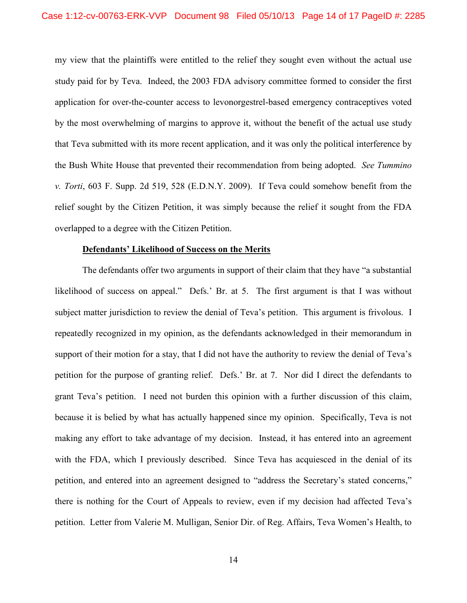my view that the plaintiffs were entitled to the relief they sought even without the actual use study paid for by Teva. Indeed, the 2003 FDA advisory committee formed to consider the first application for over-the-counter access to levonorgestrel-based emergency contraceptives voted by the most overwhelming of margins to approve it, without the benefit of the actual use study that Teva submitted with its more recent application, and it was only the political interference by the Bush White House that prevented their recommendation from being adopted. *See Tummino v. Torti*, 603 F. Supp. 2d 519, 528 (E.D.N.Y. 2009). If Teva could somehow benefit from the relief sought by the Citizen Petition, it was simply because the relief it sought from the FDA overlapped to a degree with the Citizen Petition.

### **Defendants' Likelihood of Success on the Merits**

The defendants offer two arguments in support of their claim that they have "a substantial likelihood of success on appeal." Defs.' Br. at 5. The first argument is that I was without subject matter jurisdiction to review the denial of Teva's petition. This argument is frivolous. I repeatedly recognized in my opinion, as the defendants acknowledged in their memorandum in support of their motion for a stay, that I did not have the authority to review the denial of Teva's petition for the purpose of granting relief. Defs.' Br. at 7. Nor did I direct the defendants to grant Teva's petition. I need not burden this opinion with a further discussion of this claim, because it is belied by what has actually happened since my opinion. Specifically, Teva is not making any effort to take advantage of my decision. Instead, it has entered into an agreement with the FDA, which I previously described. Since Teva has acquiesced in the denial of its petition, and entered into an agreement designed to "address the Secretary's stated concerns," there is nothing for the Court of Appeals to review, even if my decision had affected Teva's petition. Letter from Valerie M. Mulligan, Senior Dir. of Reg. Affairs, Teva Women's Health, to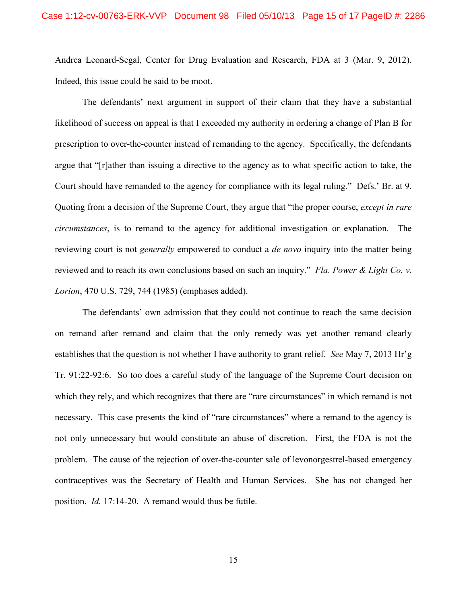Andrea Leonard-Segal, Center for Drug Evaluation and Research, FDA at 3 (Mar. 9, 2012). Indeed, this issue could be said to be moot.

The defendants' next argument in support of their claim that they have a substantial likelihood of success on appeal is that I exceeded my authority in ordering a change of Plan B for prescription to over-the-counter instead of remanding to the agency. Specifically, the defendants argue that "[r]ather than issuing a directive to the agency as to what specific action to take, the Court should have remanded to the agency for compliance with its legal ruling." Defs.' Br. at 9. Quoting from a decision of the Supreme Court, they argue that "the proper course, *except in rare circumstances*, is to remand to the agency for additional investigation or explanation. The reviewing court is not *generally* empowered to conduct a *de novo* inquiry into the matter being reviewed and to reach its own conclusions based on such an inquiry." *Fla. Power & Light Co. v. Lorion*, 470 U.S. 729, 744 (1985) (emphases added).

The defendants' own admission that they could not continue to reach the same decision on remand after remand and claim that the only remedy was yet another remand clearly establishes that the question is not whether I have authority to grant relief. *See* May 7, 2013 Hr'g Tr. 91:22-92:6. So too does a careful study of the language of the Supreme Court decision on which they rely, and which recognizes that there are "rare circumstances" in which remand is not necessary. This case presents the kind of "rare circumstances" where a remand to the agency is not only unnecessary but would constitute an abuse of discretion. First, the FDA is not the problem. The cause of the rejection of over-the-counter sale of levonorgestrel-based emergency contraceptives was the Secretary of Health and Human Services. She has not changed her position. *Id.* 17:14-20. A remand would thus be futile.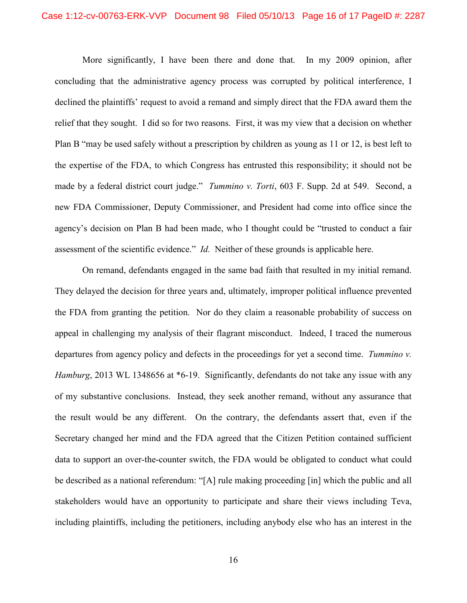More significantly, I have been there and done that. In my 2009 opinion, after concluding that the administrative agency process was corrupted by political interference, I declined the plaintiffs' request to avoid a remand and simply direct that the FDA award them the relief that they sought. I did so for two reasons. First, it was my view that a decision on whether Plan B "may be used safely without a prescription by children as young as 11 or 12, is best left to the expertise of the FDA, to which Congress has entrusted this responsibility; it should not be made by a federal district court judge." *Tummino v. Torti*, 603 F. Supp. 2d at 549. Second, a new FDA Commissioner, Deputy Commissioner, and President had come into office since the agency's decision on Plan B had been made, who I thought could be "trusted to conduct a fair assessment of the scientific evidence." *Id.* Neither of these grounds is applicable here.

On remand, defendants engaged in the same bad faith that resulted in my initial remand. They delayed the decision for three years and, ultimately, improper political influence prevented the FDA from granting the petition. Nor do they claim a reasonable probability of success on appeal in challenging my analysis of their flagrant misconduct. Indeed, I traced the numerous departures from agency policy and defects in the proceedings for yet a second time. *Tummino v. Hamburg*, 2013 WL 1348656 at \*6-19. Significantly, defendants do not take any issue with any of my substantive conclusions. Instead, they seek another remand, without any assurance that the result would be any different. On the contrary, the defendants assert that, even if the Secretary changed her mind and the FDA agreed that the Citizen Petition contained sufficient data to support an over-the-counter switch, the FDA would be obligated to conduct what could be described as a national referendum: "[A] rule making proceeding [in] which the public and all stakeholders would have an opportunity to participate and share their views including Teva, including plaintiffs, including the petitioners, including anybody else who has an interest in the